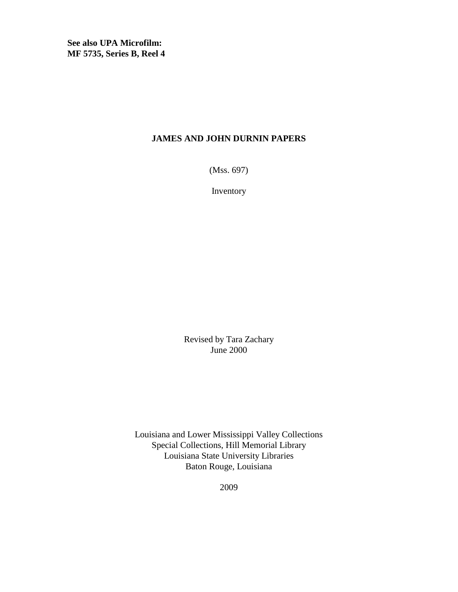**See also UPA Microfilm: MF 5735, Series B, Reel 4**

#### **JAMES AND JOHN DURNIN PAPERS**

(Mss. 697)

Inventory

Revised by Tara Zachary June 2000

Louisiana and Lower Mississippi Valley Collections Special Collections, Hill Memorial Library Louisiana State University Libraries Baton Rouge, Louisiana

2009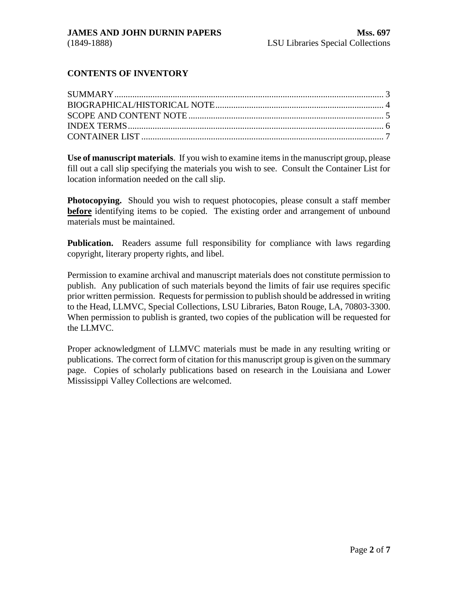### **CONTENTS OF INVENTORY**

**Use of manuscript materials**. If you wish to examine items in the manuscript group, please fill out a call slip specifying the materials you wish to see. Consult the Container List for location information needed on the call slip.

**Photocopying.** Should you wish to request photocopies, please consult a staff member **before** identifying items to be copied. The existing order and arrangement of unbound materials must be maintained.

**Publication.** Readers assume full responsibility for compliance with laws regarding copyright, literary property rights, and libel.

Permission to examine archival and manuscript materials does not constitute permission to publish. Any publication of such materials beyond the limits of fair use requires specific prior written permission. Requests for permission to publish should be addressed in writing to the Head, LLMVC, Special Collections, LSU Libraries, Baton Rouge, LA, 70803-3300. When permission to publish is granted, two copies of the publication will be requested for the LLMVC.

Proper acknowledgment of LLMVC materials must be made in any resulting writing or publications. The correct form of citation for this manuscript group is given on the summary page. Copies of scholarly publications based on research in the Louisiana and Lower Mississippi Valley Collections are welcomed.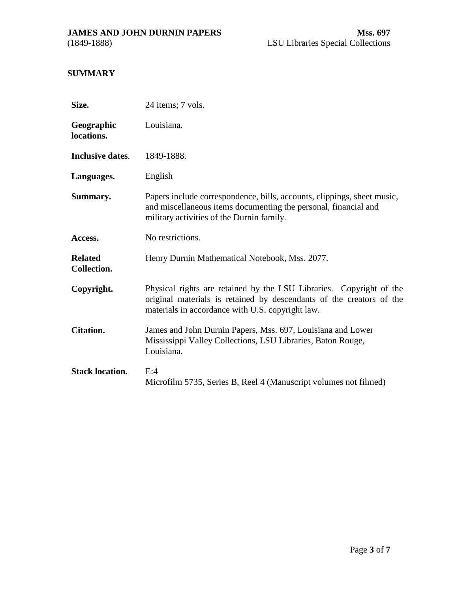<span id="page-2-0"></span>

# **SUMMARY**

| Size.                         | 24 items; 7 vols.                                                                                                                                                                               |  |  |  |
|-------------------------------|-------------------------------------------------------------------------------------------------------------------------------------------------------------------------------------------------|--|--|--|
| Geographic<br>locations.      | Louisiana.                                                                                                                                                                                      |  |  |  |
| Inclusive dates.              | 1849-1888.                                                                                                                                                                                      |  |  |  |
| Languages.                    | English                                                                                                                                                                                         |  |  |  |
| Summary.                      | Papers include correspondence, bills, accounts, clippings, sheet music,<br>and miscellaneous items documenting the personal, financial and<br>military activities of the Durnin family.         |  |  |  |
| Access.                       | No restrictions.                                                                                                                                                                                |  |  |  |
| <b>Related</b><br>Collection. | Henry Durnin Mathematical Notebook, Mss. 2077.                                                                                                                                                  |  |  |  |
| Copyright.                    | Physical rights are retained by the LSU Libraries. Copyright of the<br>original materials is retained by descendants of the creators of the<br>materials in accordance with U.S. copyright law. |  |  |  |
| <b>Citation.</b>              | James and John Durnin Papers, Mss. 697, Louisiana and Lower<br>Mississippi Valley Collections, LSU Libraries, Baton Rouge,<br>Louisiana.                                                        |  |  |  |
| <b>Stack location.</b>        | E:4<br>Microfilm 5735, Series B, Reel 4 (Manuscript volumes not filmed)                                                                                                                         |  |  |  |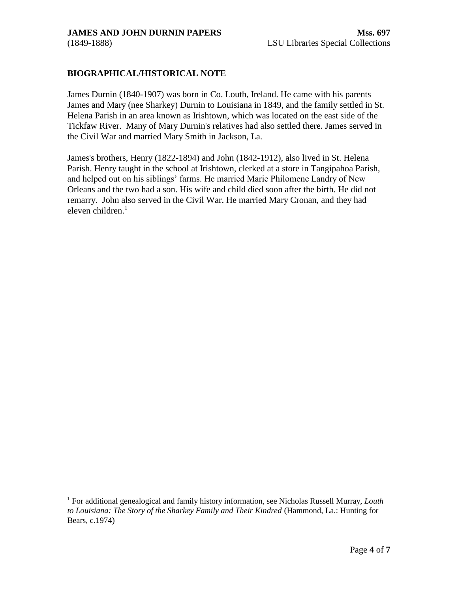#### <span id="page-3-0"></span>**BIOGRAPHICAL/HISTORICAL NOTE**

James Durnin (1840-1907) was born in Co. Louth, Ireland. He came with his parents James and Mary (nee Sharkey) Durnin to Louisiana in 1849, and the family settled in St. Helena Parish in an area known as Irishtown, which was located on the east side of the Tickfaw River. Many of Mary Durnin's relatives had also settled there. James served in the Civil War and married Mary Smith in Jackson, La.

James's brothers, Henry (1822-1894) and John (1842-1912), also lived in St. Helena Parish. Henry taught in the school at Irishtown, clerked at a store in Tangipahoa Parish, and helped out on his siblings' farms. He married Marie Philomene Landry of New Orleans and the two had a son. His wife and child died soon after the birth. He did not remarry. John also served in the Civil War. He married Mary Cronan, and they had eleven children. $<sup>1</sup>$ </sup>

 $\overline{a}$ 

<sup>&</sup>lt;sup>1</sup> For additional genealogical and family history information, see Nicholas Russell Murray, *Louth to Louisiana: The Story of the Sharkey Family and Their Kindred* (Hammond, La.: Hunting for Bears, c.1974)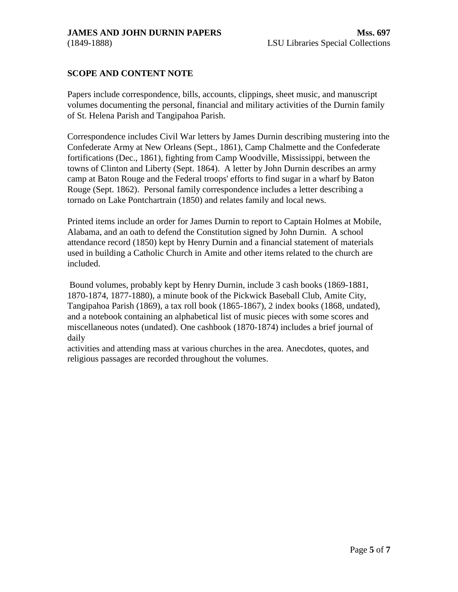### <span id="page-4-0"></span>**SCOPE AND CONTENT NOTE**

Papers include correspondence, bills, accounts, clippings, sheet music, and manuscript volumes documenting the personal, financial and military activities of the Durnin family of St. Helena Parish and Tangipahoa Parish.

Correspondence includes Civil War letters by James Durnin describing mustering into the Confederate Army at New Orleans (Sept., 1861), Camp Chalmette and the Confederate fortifications (Dec., 1861), fighting from Camp Woodville, Mississippi, between the towns of Clinton and Liberty (Sept. 1864). A letter by John Durnin describes an army camp at Baton Rouge and the Federal troops' efforts to find sugar in a wharf by Baton Rouge (Sept. 1862). Personal family correspondence includes a letter describing a tornado on Lake Pontchartrain (1850) and relates family and local news.

Printed items include an order for James Durnin to report to Captain Holmes at Mobile, Alabama, and an oath to defend the Constitution signed by John Durnin. A school attendance record (1850) kept by Henry Durnin and a financial statement of materials used in building a Catholic Church in Amite and other items related to the church are included.

Bound volumes, probably kept by Henry Durnin, include 3 cash books (1869-1881, 1870-1874, 1877-1880), a minute book of the Pickwick Baseball Club, Amite City, Tangipahoa Parish (1869), a tax roll book (1865-1867), 2 index books (1868, undated), and a notebook containing an alphabetical list of music pieces with some scores and miscellaneous notes (undated). One cashbook (1870-1874) includes a brief journal of daily

activities and attending mass at various churches in the area. Anecdotes, quotes, and religious passages are recorded throughout the volumes.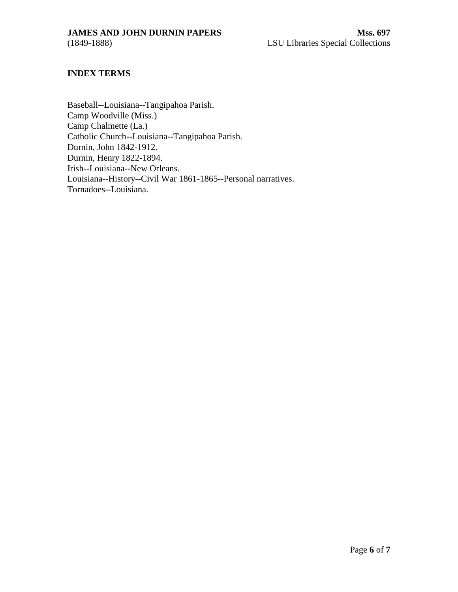#### <span id="page-5-0"></span>**INDEX TERMS**

Baseball--Louisiana--Tangipahoa Parish. Camp Woodville (Miss.) Camp Chalmette (La.) Catholic Church--Louisiana--Tangipahoa Parish. Durnin, John 1842-1912. Durnin, Henry 1822-1894. Irish--Louisiana--New Orleans. Louisiana--History--Civil War 1861-1865--Personal narratives. Tornadoes--Louisiana.